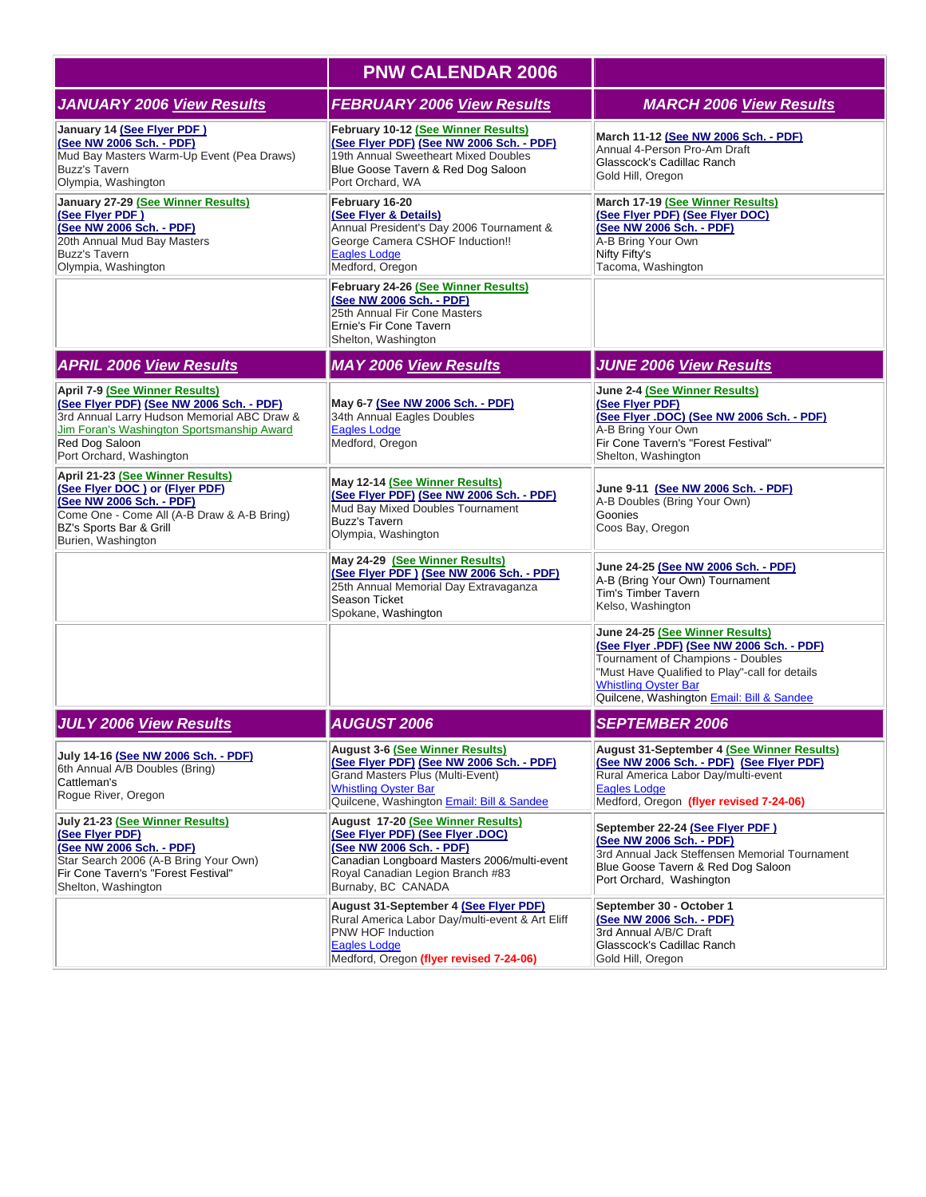|                                                                                                                                                                                                                       | <b>PNW CALENDAR 2006</b>                                                                                                                                                                                             |                                                                                                                                                                                                                                                 |
|-----------------------------------------------------------------------------------------------------------------------------------------------------------------------------------------------------------------------|----------------------------------------------------------------------------------------------------------------------------------------------------------------------------------------------------------------------|-------------------------------------------------------------------------------------------------------------------------------------------------------------------------------------------------------------------------------------------------|
| <b>JANUARY 2006 View Results</b>                                                                                                                                                                                      | <b>FEBRUARY 2006 View Results</b>                                                                                                                                                                                    | <b>MARCH 2006 View Results</b>                                                                                                                                                                                                                  |
| January 14 (See Flyer PDF)<br>(See NW 2006 Sch. - PDF)<br>Mud Bay Masters Warm-Up Event (Pea Draws)<br><b>Buzz's Tavern</b><br>Olympia, Washington                                                                    | February 10-12 (See Winner Results)<br>(See Fiver PDF) (See NW 2006 Sch. - PDF)<br>19th Annual Sweetheart Mixed Doubles<br>Blue Goose Tavern & Red Dog Saloon<br>Port Orchard, WA                                    | March 11-12 (See NW 2006 Sch. - PDF)<br>Annual 4-Person Pro-Am Draft<br>Glasscock's Cadillac Ranch<br>Gold Hill, Oregon                                                                                                                         |
| January 27-29 (See Winner Results)<br>(See Flyer PDF)<br>(See NW 2006 Sch. - PDF)<br>20th Annual Mud Bay Masters<br><b>Buzz's Tavern</b><br>Olympia, Washington                                                       | February 16-20<br>(See Flyer & Details)<br>Annual President's Day 2006 Tournament &<br>George Camera CSHOF Induction!!<br><b>Eagles Lodge</b><br>Medford, Oregon                                                     | March 17-19 (See Winner Results)<br>(See Flyer PDF) (See Flyer DOC)<br>(See NW 2006 Sch. - PDF)<br>A-B Bring Your Own<br>Nifty Fifty's<br>Tacoma, Washington                                                                                    |
|                                                                                                                                                                                                                       | February 24-26 (See Winner Results)<br>(See NW 2006 Sch. - PDF)<br>25th Annual Fir Cone Masters<br>Ernie's Fir Cone Tavern<br>Shelton, Washington                                                                    |                                                                                                                                                                                                                                                 |
| <b>APRIL 2006 View Results</b>                                                                                                                                                                                        | <b>MAY 2006 View Results</b>                                                                                                                                                                                         | <b>JUNE 2006 View Results</b>                                                                                                                                                                                                                   |
| April 7-9 (See Winner Results)<br>(See Flyer PDF) (See NW 2006 Sch. - PDF)<br>3rd Annual Larry Hudson Memorial ABC Draw &<br>Jim Foran's Washington Sportsmanship Award<br>Red Dog Saloon<br>Port Orchard, Washington | May 6-7 (See NW 2006 Sch. - PDF)<br>34th Annual Eagles Doubles<br>Eagles Lodge<br>Medford, Oregon                                                                                                                    | June 2-4 (See Winner Results)<br>(See Flyer PDF)<br>(See Flyer .DOC) (See NW 2006 Sch. - PDF)<br>A-B Bring Your Own<br>Fir Cone Tavern's "Forest Festival"<br>Shelton, Washington                                                               |
| April 21-23 (See Winner Results)<br>(See Flyer DOC) or (Flyer PDF)<br>(See NW 2006 Sch. - PDF)<br>Come One - Come All (A-B Draw & A-B Bring)<br>BZ's Sports Bar & Grill<br>Burien, Washington                         | May 12-14 (See Winner Results)<br>(See Flyer PDF) (See NW 2006 Sch. - PDF)<br>Mud Bay Mixed Doubles Tournament<br>Buzz's Tavern<br>Olympia, Washington                                                               | June 9-11 (See NW 2006 Sch. - PDF)<br>A-B Doubles (Bring Your Own)<br>Goonies<br>Coos Bay, Oregon                                                                                                                                               |
|                                                                                                                                                                                                                       | May 24-29 (See Winner Results)<br>(See Flyer PDF) (See NW 2006 Sch. - PDF)<br>25th Annual Memorial Day Extravaganza<br>Season Ticket<br>Spokane, Washington                                                          | June 24-25 (See NW 2006 Sch. - PDF)<br>A-B (Bring Your Own) Tournament<br>Tim's Timber Tavern<br>Kelso, Washington                                                                                                                              |
|                                                                                                                                                                                                                       |                                                                                                                                                                                                                      | June 24-25 (See Winner Results)<br>(See Flyer .PDF) (See NW 2006 Sch. - PDF)<br>Tournament of Champions - Doubles<br>"Must Have Qualified to Play"-call for details<br><b>Whistling Oyster Bar</b><br>Quilcene, Washington Email: Bill & Sandee |
| <b>JULY 2006 View Results</b>                                                                                                                                                                                         | <b>AUGUST 2006</b>                                                                                                                                                                                                   | <b>SEPTEMBER 2006</b>                                                                                                                                                                                                                           |
| July 14-16 (See NW 2006 Sch. - PDF)<br>6th Annual A/B Doubles (Bring)<br>Cattleman's<br>Roque River, Oregon                                                                                                           | <b>August 3-6 (See Winner Results)</b><br>(See Flyer PDF) (See NW 2006 Sch. - PDF)<br><b>Grand Masters Plus (Multi-Event)</b><br><b>Whistling Oyster Bar</b><br>Quilcene, Washington <b>Email: Bill &amp; Sandee</b> | <b>August 31-September 4 (See Winner Results)</b><br>(See NW 2006 Sch. - PDF) (See Flyer PDF)<br>Rural America Labor Day/multi-event<br>Eagles Lodge<br>Medford, Oregon (flyer revised 7-24-06)                                                 |
| July 21-23 (See Winner Results)<br>(See Flyer PDF)<br>(See NW 2006 Sch. - PDF)<br>Star Search 2006 (A-B Bring Your Own)<br>Fir Cone Tavern's "Forest Festival"<br>Shelton, Washington                                 | August 17-20 (See Winner Results)<br>(See Flyer PDF) (See Flyer .DOC)<br>(See NW 2006 Sch. - PDF)<br>Canadian Longboard Masters 2006/multi-event<br>Royal Canadian Legion Branch #83<br>Burnaby, BC CANADA           | September 22-24 (See Flyer PDF)<br>(See NW 2006 Sch. - PDF)<br>3rd Annual Jack Steffensen Memorial Tournament<br>Blue Goose Tavern & Red Dog Saloon<br>Port Orchard, Washington                                                                 |
|                                                                                                                                                                                                                       | August 31-September 4 (See Flyer PDF)<br>Rural America Labor Day/multi-event & Art Eliff<br>PNW HOF Induction<br>Eagles Lodge<br>Medford, Oregon (flyer revised 7-24-06)                                             | September 30 - October 1<br>(See NW 2006 Sch. - PDF)<br>3rd Annual A/B/C Draft<br>Glasscock's Cadillac Ranch<br>Gold Hill, Oregon                                                                                                               |